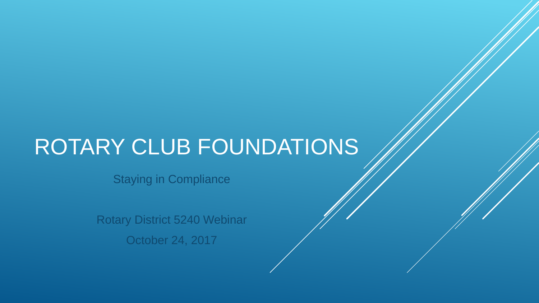# ROTARY CLUB FOUNDATIONS

Staying in Compliance

Rotary District 5240 Webinar October 24, 2017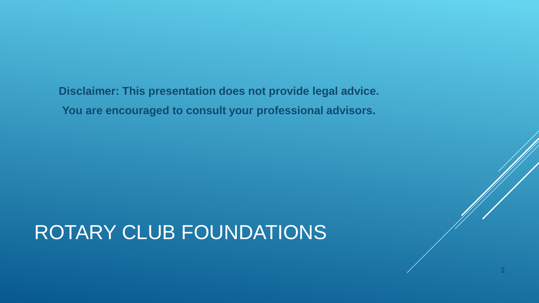**Disclaimer: This presentation does not provide legal advice. You are encouraged to consult your professional advisors.**

# ROTARY CLUB FOUNDATIONS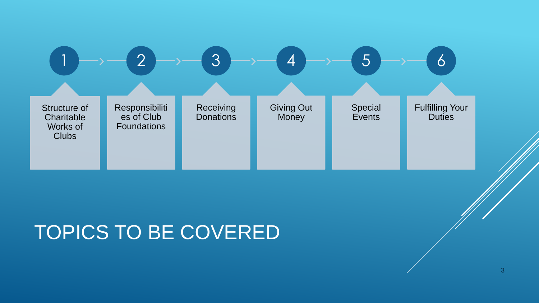

## TOPICS TO BE COVERED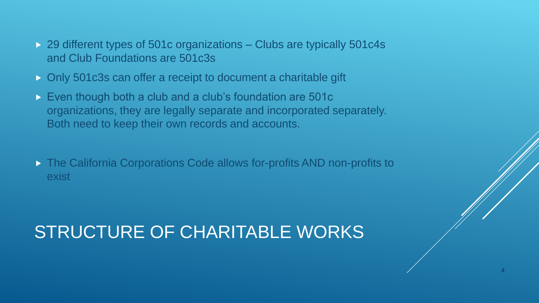- ▶ 29 different types of 501c organizations Clubs are typically 501c4s and Club Foundations are 501c3s
- Only 501c3s can offer a receipt to document a charitable gift
- Even though both a club and a club's foundation are 501c organizations, they are legally separate and incorporated separately. Both need to keep their own records and accounts.
- ▶ The California Corporations Code allows for-profits AND non-profits to exist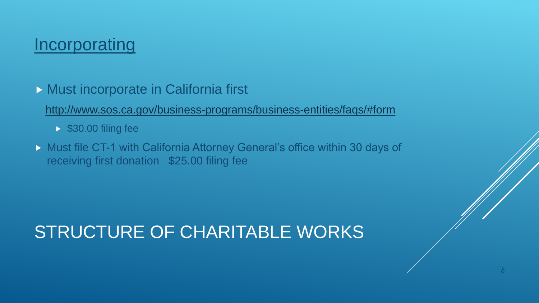### **Incorporating**

**Must incorporate in California first** 

<http://www.sos.ca.gov/business-programs/business-entities/faqs/#form>

- **\$30.00 filing fee**
- **Must file CT-1 with California Attorney General's office within 30 days of** receiving first donation \$25.00 filing fee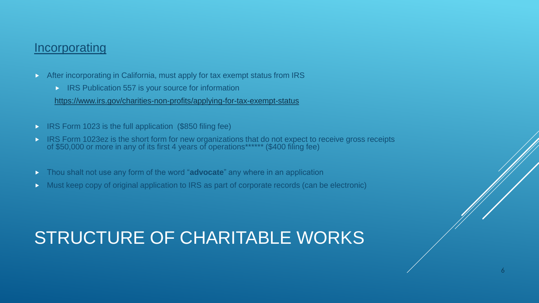#### **Incorporating**

- After incorporating in California, must apply for tax exempt status from IRS
	- $\triangleright$  IRS Publication 557 is your source for information

<https://www.irs.gov/charities-non-profits/applying-for-tax-exempt-status>

- IRS Form 1023 is the full application (\$850 filing fee)
- **IRS Form 1023ez is the short form for new organizations that do not expect to receive gross receipts** of \$50,000 or more in any of its first 4 years of operations\*\*\*\*\*\* (\$400 filing fee)
- Thou shalt not use any form of the word "**advocate**" any where in an application
- Must keep copy of original application to IRS as part of corporate records (can be electronic)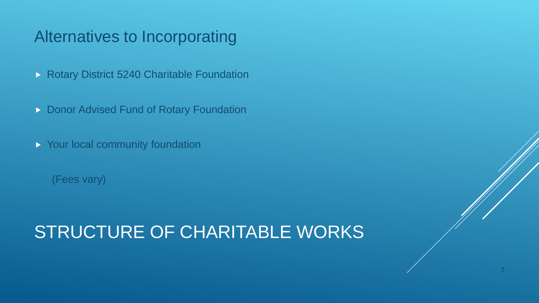### Alternatives to Incorporating

- **Rotary District 5240 Charitable Foundation**
- **Donor Advised Fund of Rotary Foundation**
- Your local community foundation

(Fees vary)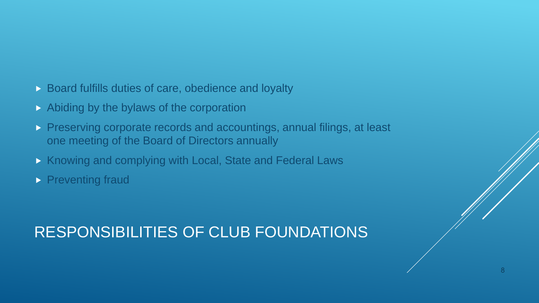#### **Board fulfills duties of care, obedience and loyalty**

- Abiding by the bylaws of the corporation
- **Preserving corporate records and accountings, annual filings, at least** one meeting of the Board of Directors annually
- **Knowing and complying with Local, State and Federal Laws**
- **Preventing fraud**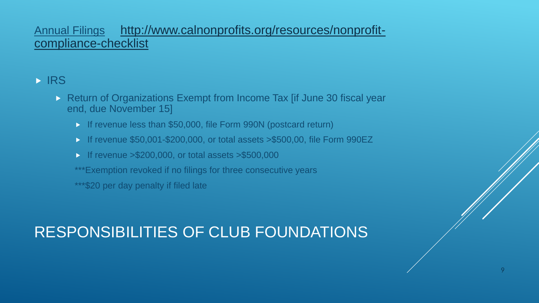#### Annual Filings [http://www.calnonprofits.org/resources/nonprofit](http://www.calnonprofits.org/resources/nonprofit-compliance-checklist)compliance-checklist

### **IRS**

- **Return of Organizations Exempt from Income Tax [if June 30 fiscal year** end, due November 15]
	- If revenue less than \$50,000, file Form 990N (postcard return)
	- If revenue \$50,001-\$200,000, or total assets > \$500,00, file Form 990EZ
	- If revenue  $>\$200,000$ , or total assets  $>\$500,000$
	- \*\*\*Exemption revoked if no filings for three consecutive years
	- \*\*\*\$20 per day penalty if filed late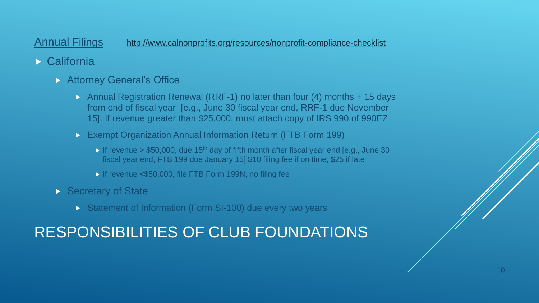Annual Filings <http://www.calnonprofits.org/resources/nonprofit-compliance-checklist>

- California
	- **Attorney General's Office** 
		- Annual Registration Renewal (RRF-1) no later than four (4) months  $+ 15$  days from end of fiscal year [e.g., June 30 fiscal year end, RRF-1 due November 15]. If revenue greater than \$25,000, must attach copy of IRS 990 of 990EZ
		- Exempt Organization Annual Information Return (FTB Form 199)
			- If revenue  $> $50,000$ , due 15<sup>th</sup> day of fifth month after fiscal year end [e.g., June 30] fiscal year end, FTB 199 due January 15] \$10 filing fee if on time, \$25 if late
			- If revenue <\$50,000, file FTB Form 199N, no filing fee
	- Secretary of State
		- Statement of Information (Form SI-100) due every two years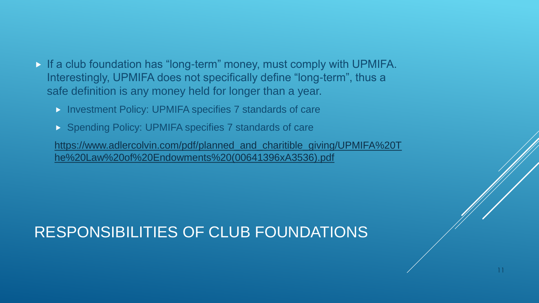- If a club foundation has "long-term" money, must comply with UPMIFA. Interestingly, UPMIFA does not specifically define "long-term", thus a safe definition is any money held for longer than a year.
	- **Investment Policy: UPMIFA specifies 7 standards of care**
	- ▶ Spending Policy: UPMIFA specifies 7 standards of care

[https://www.adlercolvin.com/pdf/planned\\_and\\_charitible\\_giving/UPMIFA%20T](https://www.adlercolvin.com/pdf/planned_and_charitible_giving/UPMIFA The Law of Endowments (00641396xA3536).pdf) he%20Law%20of%20Endowments%20(00641396xA3536).pdf

11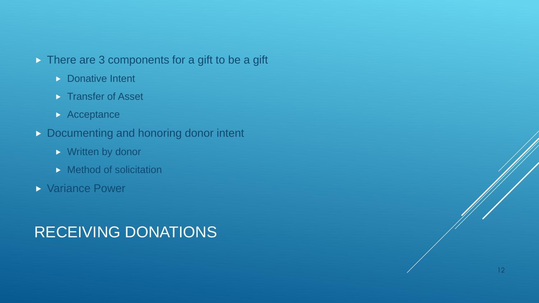- ▶ There are 3 components for a gift to be a gift
	- **Donative Intent**
	- **Transfer of Asset**
	- **Acceptance**
- Documenting and honoring donor intent
	- **Written by donor**
	- $\triangleright$  Method of solicitation
- Variance Power

### RECEIVING DONATIONS

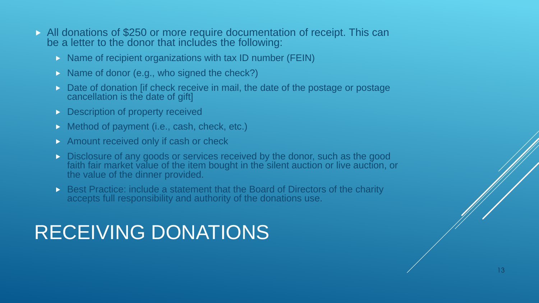- All donations of \$250 or more require documentation of receipt. This can be a letter to the donor that includes the following:
	- $\triangleright$  Name of recipient organizations with tax ID number (FEIN)
	- $\triangleright$  Name of donor (e.g., who signed the check?)
	- $\triangleright$  Date of donation [if check receive in mail, the date of the postage or postage cancellation is the date of gift]
	- **Description of property received**
	- ▶ Method of payment (i.e., cash, check, etc.)
	- $\triangleright$  Amount received only if cash or check
	- Disclosure of any goods or services received by the donor, such as the good faith fair market value of the item bought in the silent auction or live auction, or the value of the dinner provided.
	- Best Practice: include a statement that the Board of Directors of the charity accepts full responsibility and authority of the donations use.

# RECEIVING DONATIONS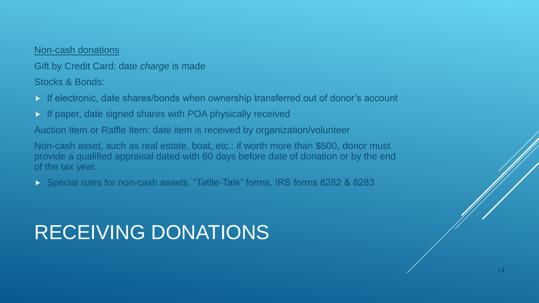#### Non-cash donations

Gift by Credit Card: date *charge* is made Stocks & Bonds:

- If electronic, date shares/bonds when ownership transferred out of donor's account
- If paper, date signed shares with POA physically received

Auction Item or Raffle Item: date item is received by organization/volunteer

Non-cash asset, such as real estate, boat, etc.: if worth more than \$500, donor must provide a qualified appraisal dated with 60 days before date of donation or by the end of the tax year.

Special rules for non-cash assets, "Tattle-Tale" forms, IRS forms 8282 & 8283

# RECEIVING DONATIONS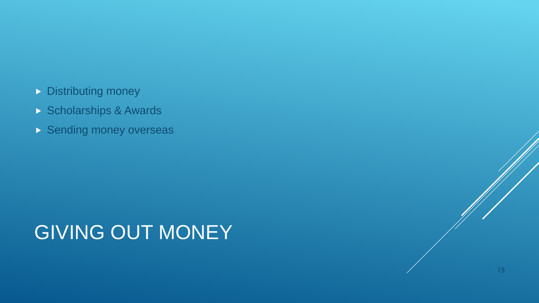- Distributing money
- Scholarships & Awards
- Sending money overseas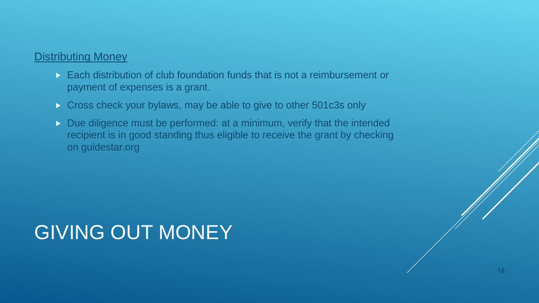#### Distributing Money

- Each distribution of club foundation funds that is not a reimbursement or payment of expenses is a grant.
- Cross check your bylaws, may be able to give to other 501c3s only
- Due diligence must be performed: at a minimum, verify that the intended recipient is in good standing thus eligible to receive the grant by checking on guidestar.org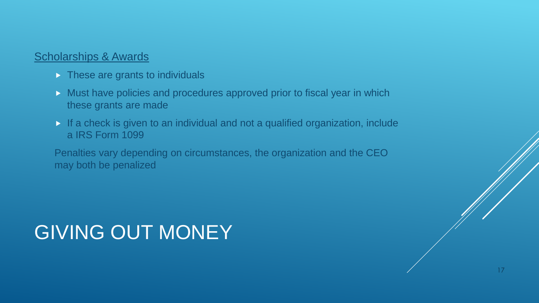#### Scholarships & Awards

- $\triangleright$  These are grants to individuals
- **Must have policies and procedures approved prior to fiscal year in which** these grants are made
- If a check is given to an individual and not a qualified organization, include a IRS Form 1099

Penalties vary depending on circumstances, the organization and the CEO may both be penalized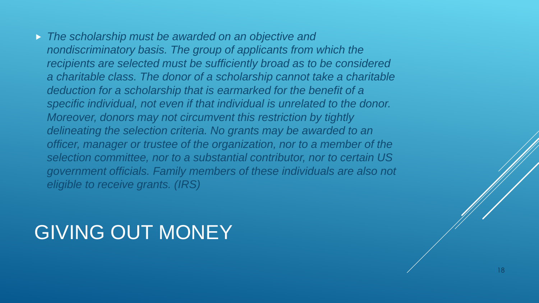*The scholarship must be awarded on an objective and nondiscriminatory basis. The group of applicants from which the recipients are selected must be sufficiently broad as to be considered a charitable class. The donor of a scholarship cannot take a charitable deduction for a scholarship that is earmarked for the benefit of a specific individual, not even if that individual is unrelated to the donor. Moreover, donors may not circumvent this restriction by tightly delineating the selection criteria. No grants may be awarded to an officer, manager or trustee of the organization, nor to a member of the selection committee, nor to a substantial contributor, nor to certain US government officials. Family members of these individuals are also not eligible to receive grants. (IRS)*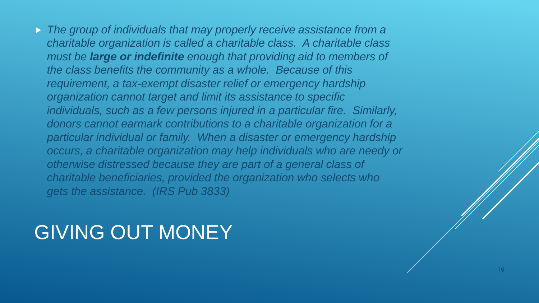*The group of individuals that may properly receive assistance from a charitable organization is called a charitable class. A charitable class must be large or indefinite enough that providing aid to members of the class benefits the community as a whole. Because of this requirement, a tax-exempt disaster relief or emergency hardship organization cannot target and limit its assistance to specific individuals, such as a few persons injured in a particular fire. Similarly, donors cannot earmark contributions to a charitable organization for a particular individual or family. When a disaster or emergency hardship occurs, a charitable organization may help individuals who are needy or otherwise distressed because they are part of a general class of charitable beneficiaries, provided the organization who selects who gets the assistance. (IRS Pub 3833)*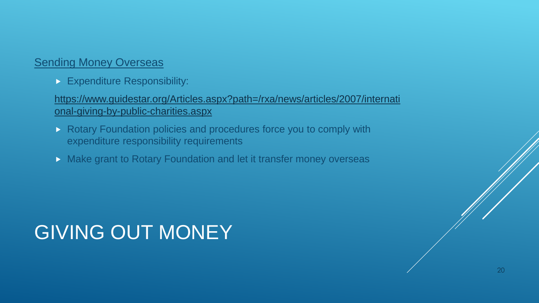#### **Sending Money Overseas**

**Expenditure Responsibility:** 

[https://www.guidestar.org/Articles.aspx?path=/rxa/news/articles/2007/internati](https://www.guidestar.org/Articles.aspx?path=/rxa/news/articles/2007/international-giving-by-public-charities.aspx) onal-giving-by-public-charities.aspx

- Rotary Foundation policies and procedures force you to comply with expenditure responsibility requirements
- **Make grant to Rotary Foundation and let it transfer money overseas**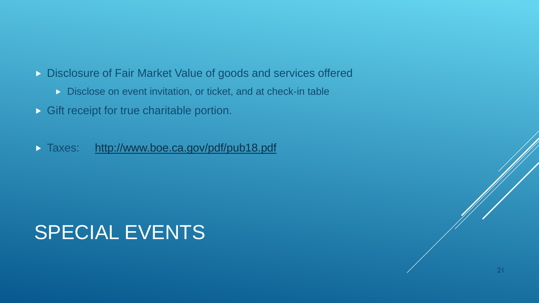- **Disclosure of Fair Market Value of goods and services offered** 
	- Disclose on event invitation, or ticket, and at check-in table
- **Gift receipt for true charitable portion.**
- Taxes: <http://www.boe.ca.gov/pdf/pub18.pdf>

# SPECIAL EVENTS

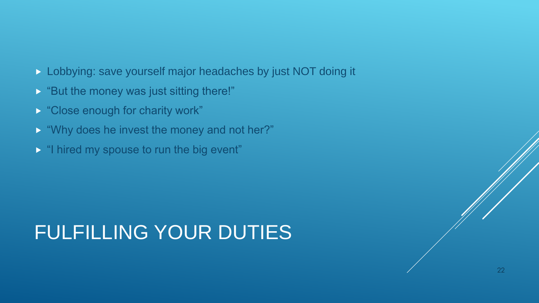- Lobbying: save yourself major headaches by just NOT doing it
- **But the money was just sitting there!"**
- **D** "Close enough for charity work"
- **Why does he invest the money and not her?"**
- **If** "I hired my spouse to run the big event"

# FULFILLING YOUR DUTIES